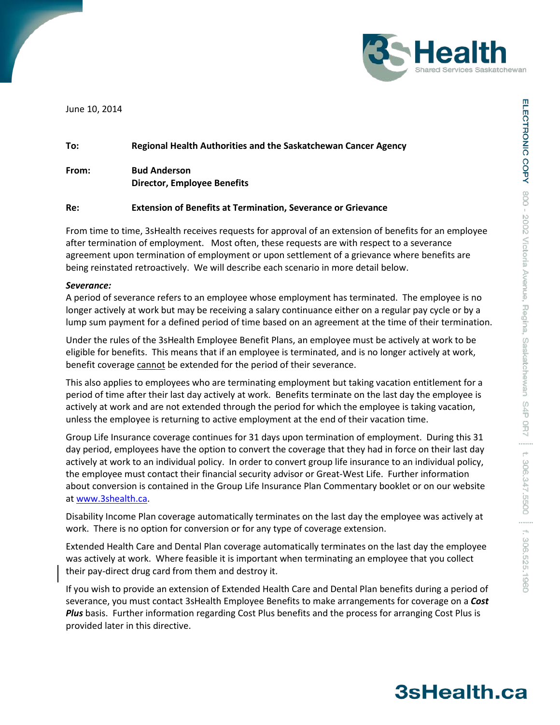

June 10, 2014

# **To: Regional Health Authorities and the Saskatchewan Cancer Agency From: Bud Anderson**

**Director, Employee Benefits**

## **Re: Extension of Benefits at Termination, Severance or Grievance**

From time to time, 3sHealth receives requests for approval of an extension of benefits for an employee after termination of employment. Most often, these requests are with respect to a severance agreement upon termination of employment or upon settlement of a grievance where benefits are being reinstated retroactively. We will describe each scenario in more detail below.

### *Severance:*

A period of severance refers to an employee whose employment has terminated. The employee is no longer actively at work but may be receiving a salary continuance either on a regular pay cycle or by a lump sum payment for a defined period of time based on an agreement at the time of their termination.

Under the rules of the 3sHealth Employee Benefit Plans, an employee must be actively at work to be eligible for benefits. This means that if an employee is terminated, and is no longer actively at work, benefit coverage cannot be extended for the period of their severance.

This also applies to employees who are terminating employment but taking vacation entitlement for a period of time after their last day actively at work. Benefits terminate on the last day the employee is actively at work and are not extended through the period for which the employee is taking vacation, unless the employee is returning to active employment at the end of their vacation time.

Group Life Insurance coverage continues for 31 days upon termination of employment. During this 31 day period, employees have the option to convert the coverage that they had in force on their last day actively at work to an individual policy. In order to convert group life insurance to an individual policy, the employee must contact their financial security advisor or Great-West Life. Further information about conversion is contained in the Group Life Insurance Plan Commentary booklet or on our website at [www.3shealth.ca.](http://www.3shealth.ca/)

Disability Income Plan coverage automatically terminates on the last day the employee was actively at work. There is no option for conversion or for any type of coverage extension.

Extended Health Care and Dental Plan coverage automatically terminates on the last day the employee was actively at work. Where feasible it is important when terminating an employee that you collect their pay-direct drug card from them and destroy it.

If you wish to provide an extension of Extended Health Care and Dental Plan benefits during a period of severance, you must contact 3sHealth Employee Benefits to make arrangements for coverage on a *Cost Plus* basis. Further information regarding Cost Plus benefits and the process for arranging Cost Plus is provided later in this directive.

# 3sHealth.ca